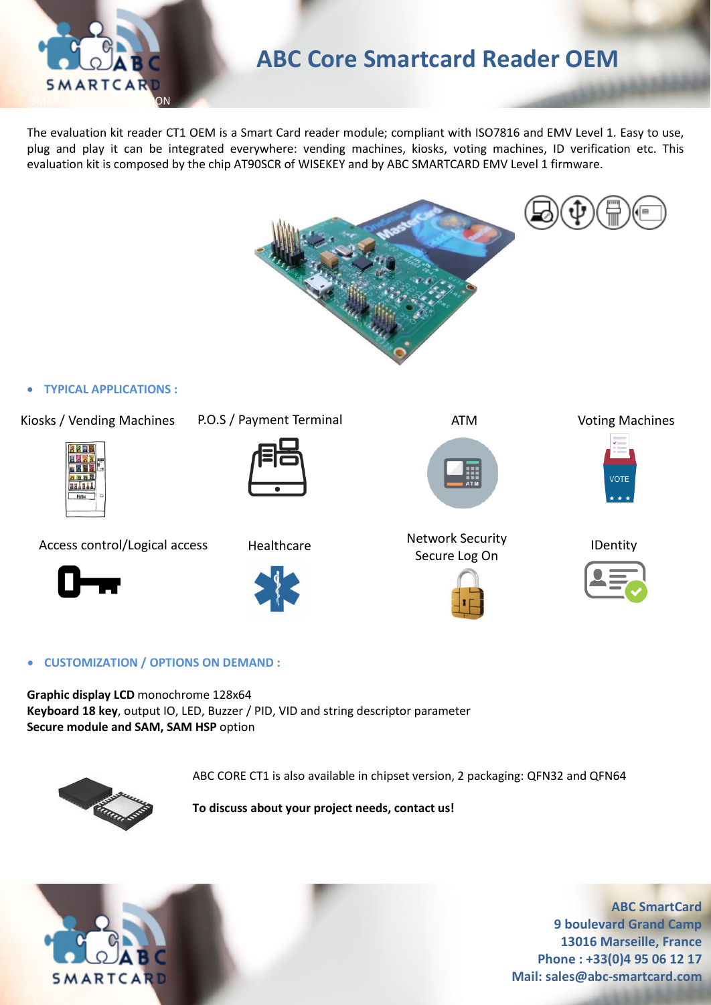

# **ABC Core Smartcard Reader OEM**

The evaluation kit reader CT1 OEM is a Smart Card reader module; compliant with ISO7816 and EMV Level 1. Easy to use, plug and play it can be integrated everywhere: vending machines, kiosks, voting machines, ID verification etc. This evaluation kit is composed by the chip AT90SCR of WISEKEY and by ABC SMARTCARD EMV Level 1 firmware.



## • **TYPICAL APPLICATIONS :**

Kiosks / Vending Machines P.O.S / Payment Terminal ATM



Access control/Logical access Healthcare Metwork Security





**Healthcare** 



Secure Log On



Voting Machines



IDentity



• **CUSTOMIZATION / OPTIONS ON DEMAND :**

**Graphic display LCD** monochrome 128x64 **Keyboard 18 key**, output IO, LED, Buzzer / PID, VID and string descriptor parameter **Secure module and SAM, SAM HSP** option



ABC CORE CT1 is also available in chipset version, 2 packaging: QFN32 and QFN64

**To discuss about your project needs, contact us!**



**ABC SmartCard 9 boulevard Grand Camp 13016 Marseille, France Phone : +33(0)4 95 06 12 17 Mail: sales@abc-smartcard.com**